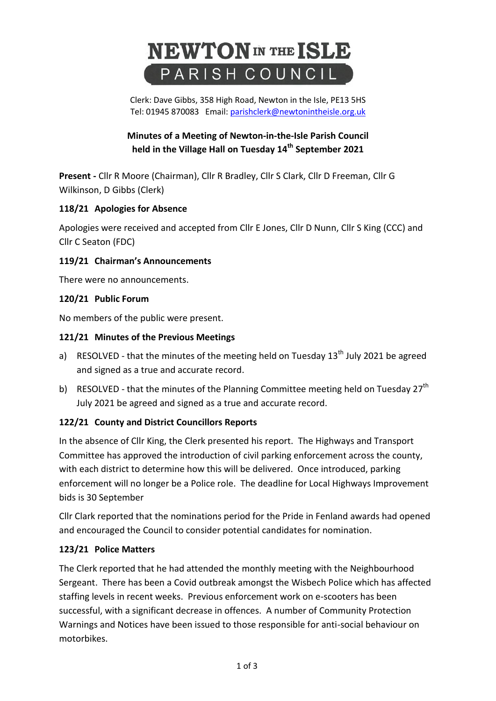# **NEWTON** IN THE ISLE PARISH COUNCIL

Clerk: Dave Gibbs, 358 High Road, Newton in the Isle, PE13 5HS Tel: 01945 870083 Email: [parishclerk@newtonintheisle.org.uk](mailto:parishclerk@newtonintheisle.org.uk)

# **Minutes of a Meeting of Newton-in-the-Isle Parish Council held in the Village Hall on Tuesday 14 th September 2021**

**Present -** Cllr R Moore (Chairman), Cllr R Bradley, Cllr S Clark, Cllr D Freeman, Cllr G Wilkinson, D Gibbs (Clerk)

# **118/21 Apologies for Absence**

Apologies were received and accepted from Cllr E Jones, Cllr D Nunn, Cllr S King (CCC) and Cllr C Seaton (FDC)

# **119/21 Chairman's Announcements**

There were no announcements.

# **120/21 Public Forum**

No members of the public were present.

# **121/21 Minutes of the Previous Meetings**

- a) RESOLVED that the minutes of the meeting held on Tuesday 13<sup>th</sup> July 2021 be agreed and signed as a true and accurate record.
- b) RESOLVED that the minutes of the Planning Committee meeting held on Tuesday 27<sup>th</sup> July 2021 be agreed and signed as a true and accurate record.

# **122/21 County and District Councillors Reports**

In the absence of Cllr King, the Clerk presented his report. The Highways and Transport Committee has approved the introduction of civil parking enforcement across the county, with each district to determine how this will be delivered. Once introduced, parking enforcement will no longer be a Police role. The deadline for Local Highways Improvement bids is 30 September

Cllr Clark reported that the nominations period for the Pride in Fenland awards had opened and encouraged the Council to consider potential candidates for nomination.

# **123/21 Police Matters**

The Clerk reported that he had attended the monthly meeting with the Neighbourhood Sergeant. There has been a Covid outbreak amongst the Wisbech Police which has affected staffing levels in recent weeks. Previous enforcement work on e-scooters has been successful, with a significant decrease in offences. A number of Community Protection Warnings and Notices have been issued to those responsible for anti-social behaviour on motorbikes.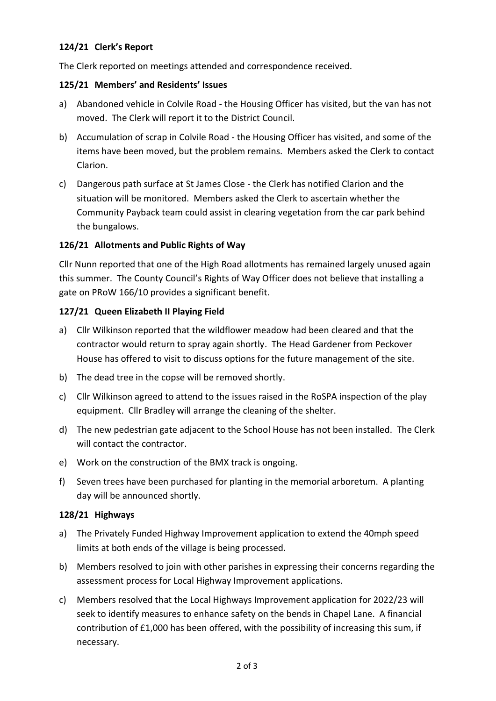## **124/21 Clerk's Report**

The Clerk reported on meetings attended and correspondence received.

#### **125/21 Members' and Residents' Issues**

- a) Abandoned vehicle in Colvile Road the Housing Officer has visited, but the van has not moved. The Clerk will report it to the District Council.
- b) Accumulation of scrap in Colvile Road the Housing Officer has visited, and some of the items have been moved, but the problem remains. Members asked the Clerk to contact Clarion.
- c) Dangerous path surface at St James Close the Clerk has notified Clarion and the situation will be monitored. Members asked the Clerk to ascertain whether the Community Payback team could assist in clearing vegetation from the car park behind the bungalows.

## **126/21 Allotments and Public Rights of Way**

Cllr Nunn reported that one of the High Road allotments has remained largely unused again this summer. The County Council's Rights of Way Officer does not believe that installing a gate on PRoW 166/10 provides a significant benefit.

#### **127/21 Queen Elizabeth II Playing Field**

- a) Cllr Wilkinson reported that the wildflower meadow had been cleared and that the contractor would return to spray again shortly. The Head Gardener from Peckover House has offered to visit to discuss options for the future management of the site.
- b) The dead tree in the copse will be removed shortly.
- c) Cllr Wilkinson agreed to attend to the issues raised in the RoSPA inspection of the play equipment. Cllr Bradley will arrange the cleaning of the shelter.
- d) The new pedestrian gate adjacent to the School House has not been installed. The Clerk will contact the contractor.
- e) Work on the construction of the BMX track is ongoing.
- f) Seven trees have been purchased for planting in the memorial arboretum. A planting day will be announced shortly.

#### **128/21 Highways**

- a) The Privately Funded Highway Improvement application to extend the 40mph speed limits at both ends of the village is being processed.
- b) Members resolved to join with other parishes in expressing their concerns regarding the assessment process for Local Highway Improvement applications.
- c) Members resolved that the Local Highways Improvement application for 2022/23 will seek to identify measures to enhance safety on the bends in Chapel Lane. A financial contribution of £1,000 has been offered, with the possibility of increasing this sum, if necessary.